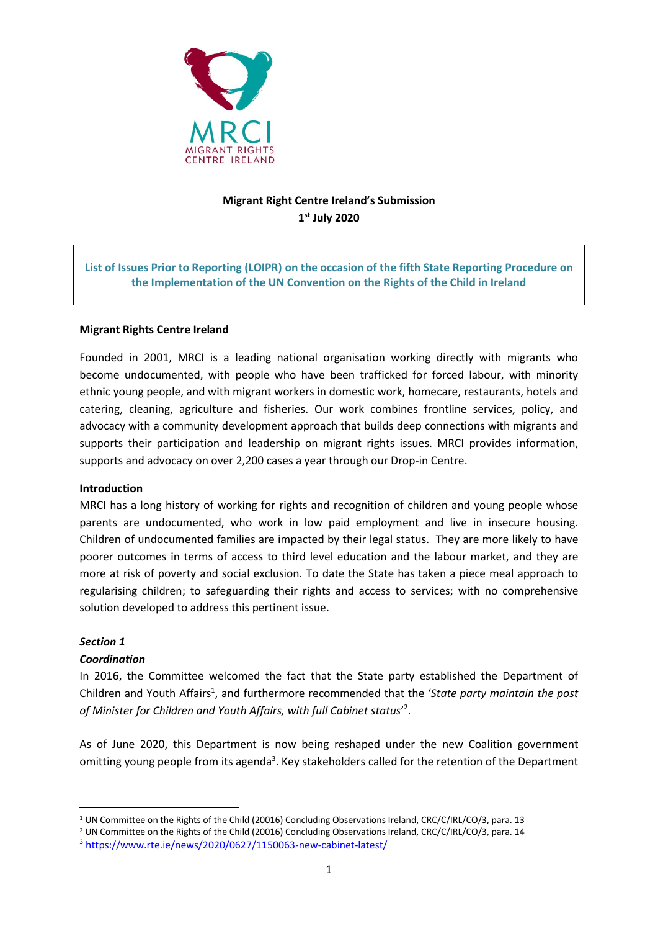

# **Migrant Right Centre Ireland's Submission 1 st July 2020**

## **List of Issues Prior to Reporting (LOIPR) on the occasion of the fifth State Reporting Procedure on the Implementation of the UN Convention on the Rights of the Child in Ireland**

## **Migrant Rights Centre Ireland**

Founded in 2001, MRCI is a leading national organisation working directly with migrants who become undocumented, with people who have been trafficked for forced labour, with minority ethnic young people, and with migrant workers in domestic work, homecare, restaurants, hotels and catering, cleaning, agriculture and fisheries. Our work combines frontline services, policy, and advocacy with a community development approach that builds deep connections with migrants and supports their participation and leadership on migrant rights issues. MRCI provides information, supports and advocacy on over 2,200 cases a year through our Drop-in Centre.

#### **Introduction**

MRCI has a long history of working for rights and recognition of children and young people whose parents are undocumented, who work in low paid employment and live in insecure housing. Children of undocumented families are impacted by their legal status. They are more likely to have poorer outcomes in terms of access to third level education and the labour market, and they are more at risk of poverty and social exclusion. To date the State has taken a piece meal approach to regularising children; to safeguarding their rights and access to services; with no comprehensive solution developed to address this pertinent issue.

#### *Section 1*

#### *Coordination*

In 2016, the Committee welcomed the fact that the State party established the Department of Children and Youth Affairs<sup>1</sup>, and furthermore recommended that the 'State party maintain the post of Minister for Children and Youth Affairs, with full Cabinet status'<sup>2</sup>.

As of June 2020, this Department is now being reshaped under the new Coalition government omitting young people from its agenda<sup>3</sup>. Key stakeholders called for the retention of the Department

<sup>1</sup> <sup>1</sup> UN Committee on the Rights of the Child (20016) Concluding Observations Ireland, CRC/C/IRL/CO/3, para. 13

<sup>&</sup>lt;sup>2</sup> UN Committee on the Rights of the Child (20016) Concluding Observations Ireland, CRC/C/IRL/CO/3, para. 14

<sup>3</sup> <https://www.rte.ie/news/2020/0627/1150063-new-cabinet-latest/>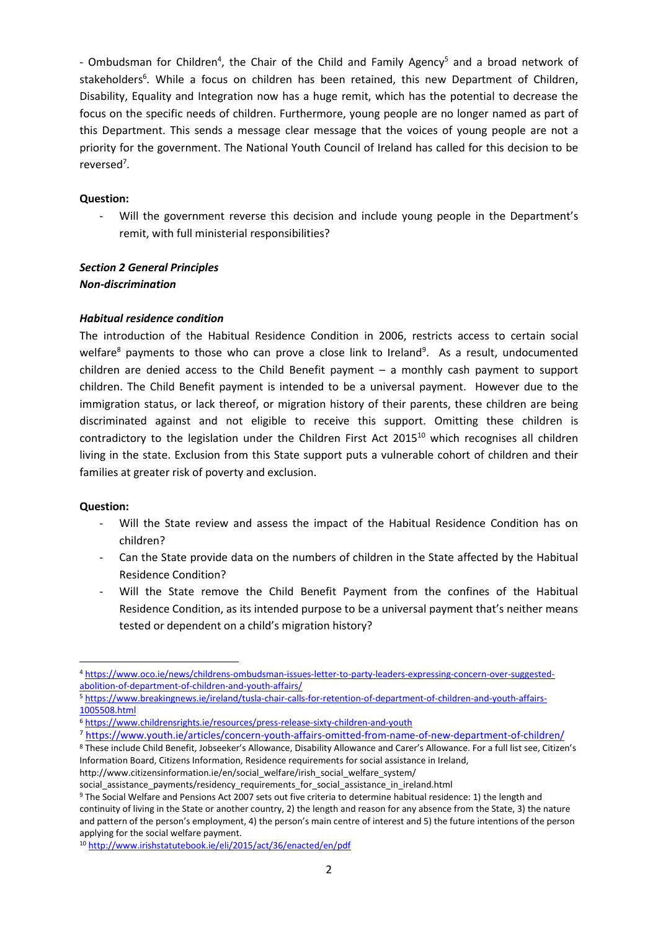- Ombudsman for Children<sup>4</sup>, the Chair of the Child and Family Agency<sup>5</sup> and a broad network of stakeholders<sup>6</sup>. While a focus on children has been retained, this new Department of Children, Disability, Equality and Integration now has a huge remit, which has the potential to decrease the focus on the specific needs of children. Furthermore, young people are no longer named as part of this Department. This sends a message clear message that the voices of young people are not a priority for the government. The National Youth Council of Ireland has called for this decision to be reversed<sup>7</sup>.

#### **Question:**

- Will the government reverse this decision and include young people in the Department's remit, with full ministerial responsibilities?

# *Section 2 General Principles*

## *Non-discrimination*

## *Habitual residence condition*

The introduction of the Habitual Residence Condition in 2006, restricts access to certain social welfare<sup>8</sup> payments to those who can prove a close link to Ireland<sup>9</sup>. As a result, undocumented children are denied access to the Child Benefit payment – a monthly cash payment to support children. The Child Benefit payment is intended to be a universal payment. However due to the immigration status, or lack thereof, or migration history of their parents, these children are being discriminated against and not eligible to receive this support. Omitting these children is contradictory to the legislation under the Children First Act 2015<sup>10</sup> which recognises all children living in the state. Exclusion from this State support puts a vulnerable cohort of children and their families at greater risk of poverty and exclusion.

## **Question:**

1

- Will the State review and assess the impact of the Habitual Residence Condition has on children?
- Can the State provide data on the numbers of children in the State affected by the Habitual Residence Condition?
- Will the State remove the Child Benefit Payment from the confines of the Habitual Residence Condition, as its intended purpose to be a universal payment that's neither means tested or dependent on a child's migration history?

<sup>4</sup> [https://www.oco.ie/news/childrens-ombudsman-issues-letter-to-party-leaders-expressing-concern-over-suggested](https://www.oco.ie/news/childrens-ombudsman-issues-letter-to-party-leaders-expressing-concern-over-suggested-abolition-of-department-of-children-and-youth-affairs/)[abolition-of-department-of-children-and-youth-affairs/](https://www.oco.ie/news/childrens-ombudsman-issues-letter-to-party-leaders-expressing-concern-over-suggested-abolition-of-department-of-children-and-youth-affairs/)

<sup>5</sup> [https://www.breakingnews.ie/ireland/tusla-chair-calls-for-retention-of-department-of-children-and-youth-affairs-](https://www.breakingnews.ie/ireland/tusla-chair-calls-for-retention-of-department-of-children-and-youth-affairs-1005508.html)[1005508.html](https://www.breakingnews.ie/ireland/tusla-chair-calls-for-retention-of-department-of-children-and-youth-affairs-1005508.html)

<sup>6</sup> <https://www.childrensrights.ie/resources/press-release-sixty-children-and-youth>

<sup>7</sup> <https://www.youth.ie/articles/concern-youth-affairs-omitted-from-name-of-new-department-of-children/>

<sup>8</sup> These include Child Benefit, Jobseeker's Allowance, Disability Allowance and Carer's Allowance. For a full list see, Citizen's Information Board, Citizens Information, Residence requirements for social assistance in Ireland, http://www.citizensinformation.ie/en/social\_welfare/irish\_social\_welfare\_system/

social assistance payments/residency requirements for social assistance in ireland.html

<sup>9</sup> The Social Welfare and Pensions Act 2007 sets out five criteria to determine habitual residence: 1) the length and continuity of living in the State or another country, 2) the length and reason for any absence from the State, 3) the nature and pattern of the person's employment, 4) the person's main centre of interest and 5) the future intentions of the person applying for the social welfare payment.

<sup>10</sup> <http://www.irishstatutebook.ie/eli/2015/act/36/enacted/en/pdf>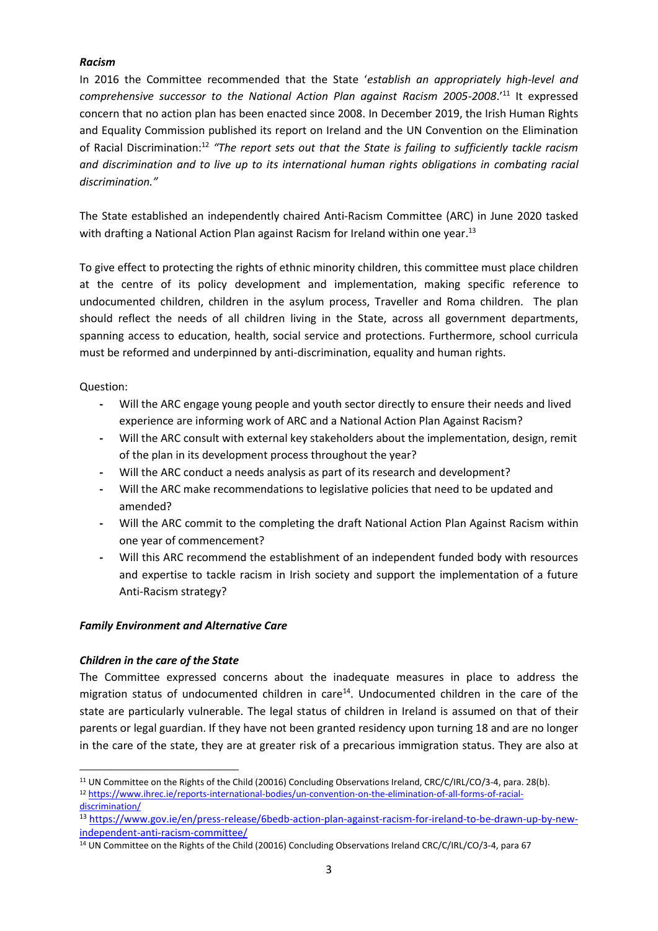## *Racism*

In 2016 the Committee recommended that the State '*establish an appropriately high-level and comprehensive successor to the National Action Plan against Racism 2005-2008*.'<sup>11</sup> It expressed concern that no action plan has been enacted since 2008. In December 2019, the Irish Human Rights and Equality Commission published its report on Ireland and the UN Convention on the Elimination of Racial Discrimination:<sup>12</sup> "The report sets out that the State is failing to sufficiently tackle racism *and discrimination and to live up to its international human rights obligations in combating racial discrimination."*

The State established an independently chaired Anti-Racism Committee (ARC) in June 2020 tasked with drafting a National Action Plan against Racism for Ireland within one year.<sup>13</sup>

To give effect to protecting the rights of ethnic minority children, this committee must place children at the centre of its policy development and implementation, making specific reference to undocumented children, children in the asylum process, Traveller and Roma children. The plan should reflect the needs of all children living in the State, across all government departments, spanning access to education, health, social service and protections. Furthermore, school curricula must be reformed and underpinned by anti-discrimination, equality and human rights.

Question:

**.** 

- **-** Will the ARC engage young people and youth sector directly to ensure their needs and lived experience are informing work of ARC and a National Action Plan Against Racism?
- **-** Will the ARC consult with external key stakeholders about the implementation, design, remit of the plan in its development process throughout the year?
- **-** Will the ARC conduct a needs analysis as part of its research and development?
- **-** Will the ARC make recommendations to legislative policies that need to be updated and amended?
- **-** Will the ARC commit to the completing the draft National Action Plan Against Racism within one year of commencement?
- **-** Will this ARC recommend the establishment of an independent funded body with resources and expertise to tackle racism in Irish society and support the implementation of a future Anti-Racism strategy?

## *Family Environment and Alternative Care*

## *Children in the care of the State*

The Committee expressed concerns about the inadequate measures in place to address the migration status of undocumented children in care<sup>14</sup>. Undocumented children in the care of the state are particularly vulnerable. The legal status of children in Ireland is assumed on that of their parents or legal guardian. If they have not been granted residency upon turning 18 and are no longer in the care of the state, they are at greater risk of a precarious immigration status. They are also at

<sup>11</sup> UN Committee on the Rights of the Child (20016) Concluding Observations Ireland, CRC/C/IRL/CO/3-4, para. 28(b). <sup>12</sup> [https://www.ihrec.ie/reports-international-bodies/un-convention-on-the-elimination-of-all-forms-of-racial](https://www.ihrec.ie/reports-international-bodies/un-convention-on-the-elimination-of-all-forms-of-racial-discrimination/)[discrimination/](https://www.ihrec.ie/reports-international-bodies/un-convention-on-the-elimination-of-all-forms-of-racial-discrimination/)

<sup>13</sup> [https://www.gov.ie/en/press-release/6bedb-action-plan-against-racism-for-ireland-to-be-drawn-up-by-new](https://www.gov.ie/en/press-release/6bedb-action-plan-against-racism-for-ireland-to-be-drawn-up-by-new-independent-anti-racism-committee/)[independent-anti-racism-committee/](https://www.gov.ie/en/press-release/6bedb-action-plan-against-racism-for-ireland-to-be-drawn-up-by-new-independent-anti-racism-committee/)

<sup>14</sup> UN Committee on the Rights of the Child (20016) Concluding Observations Ireland CRC/C/IRL/CO/3-4, para 67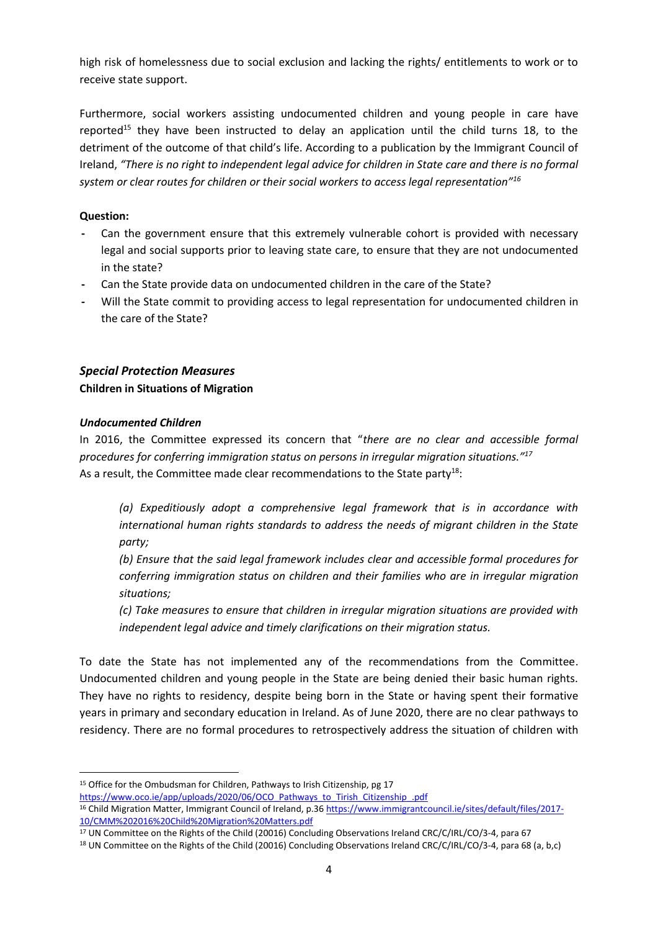high risk of homelessness due to social exclusion and lacking the rights/ entitlements to work or to receive state support.

Furthermore, social workers assisting undocumented children and young people in care have reported<sup>15</sup> they have been instructed to delay an application until the child turns 18, to the detriment of the outcome of that child's life. According to a publication by the Immigrant Council of Ireland, *"There is no right to independent legal advice for children in State care and there is no formal system or clear routes for children or their social workers to access legal representation"<sup>16</sup>*

## **Question:**

- **-** Can the government ensure that this extremely vulnerable cohort is provided with necessary legal and social supports prior to leaving state care, to ensure that they are not undocumented in the state?
- **-** Can the State provide data on undocumented children in the care of the State?
- **-** Will the State commit to providing access to legal representation for undocumented children in the care of the State?

# *Special Protection Measures* **Children in Situations of Migration**

## *Undocumented Children*

**.** 

In 2016, the Committee expressed its concern that "*there are no clear and accessible formal procedures for conferring immigration status on persons in irregular migration situations."<sup>17</sup>* As a result, the Committee made clear recommendations to the State party<sup>18</sup>:

*(a) Expeditiously adopt a comprehensive legal framework that is in accordance with international human rights standards to address the needs of migrant children in the State party;* 

*(b) Ensure that the said legal framework includes clear and accessible formal procedures for conferring immigration status on children and their families who are in irregular migration situations;* 

*(c) Take measures to ensure that children in irregular migration situations are provided with independent legal advice and timely clarifications on their migration status.*

To date the State has not implemented any of the recommendations from the Committee. Undocumented children and young people in the State are being denied their basic human rights. They have no rights to residency, despite being born in the State or having spent their formative years in primary and secondary education in Ireland. As of June 2020, there are no clear pathways to residency. There are no formal procedures to retrospectively address the situation of children with

<sup>&</sup>lt;sup>15</sup> Office for the Ombudsman for Children, Pathways to Irish Citizenship, pg 17

[https://www.oco.ie/app/uploads/2020/06/OCO\\_Pathways\\_to\\_Tirish\\_Citizenship\\_.pdf](https://www.oco.ie/app/uploads/2020/06/OCO_Pathways_to_Tirish_Citizenship_.pdf) <sup>16</sup> Child Migration Matter, Immigrant Council of Ireland, p.3[6 https://www.immigrantcouncil.ie/sites/default/files/2017-](https://www.immigrantcouncil.ie/sites/default/files/2017-10/CMM%202016%20Child%20Migration%20Matters.pdf) [10/CMM%202016%20Child%20Migration%20Matters.pdf](https://www.immigrantcouncil.ie/sites/default/files/2017-10/CMM%202016%20Child%20Migration%20Matters.pdf)

<sup>17</sup> UN Committee on the Rights of the Child (20016) Concluding Observations Ireland CRC/C/IRL/CO/3-4, para 67

<sup>18</sup> UN Committee on the Rights of the Child (20016) Concluding Observations Ireland CRC/C/IRL/CO/3-4, para 68 (a, b,c)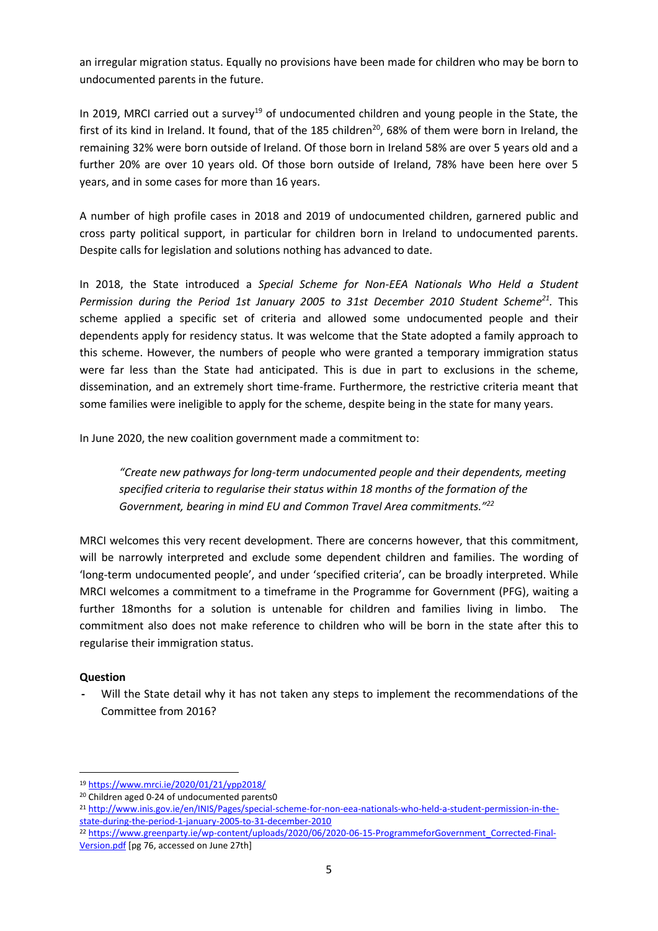an irregular migration status. Equally no provisions have been made for children who may be born to undocumented parents in the future.

In 2019, MRCI carried out a survey<sup>19</sup> of undocumented children and young people in the State, the first of its kind in Ireland. It found, that of the 185 children<sup>20</sup>, 68% of them were born in Ireland, the remaining 32% were born outside of Ireland. Of those born in Ireland 58% are over 5 years old and a further 20% are over 10 years old. Of those born outside of Ireland, 78% have been here over 5 years, and in some cases for more than 16 years.

A number of high profile cases in 2018 and 2019 of undocumented children, garnered public and cross party political support, in particular for children born in Ireland to undocumented parents. Despite calls for legislation and solutions nothing has advanced to date.

In 2018, the State introduced a *Special Scheme for Non-EEA Nationals Who Held a Student*  Permission during the Period 1st January 2005 to 31st December 2010 Student Scheme<sup>21</sup>. This scheme applied a specific set of criteria and allowed some undocumented people and their dependents apply for residency status. It was welcome that the State adopted a family approach to this scheme. However, the numbers of people who were granted a temporary immigration status were far less than the State had anticipated. This is due in part to exclusions in the scheme, dissemination, and an extremely short time-frame. Furthermore, the restrictive criteria meant that some families were ineligible to apply for the scheme, despite being in the state for many years.

In June 2020, the new coalition government made a commitment to:

*"Create new pathways for long-term undocumented people and their dependents, meeting specified criteria to regularise their status within 18 months of the formation of the Government, bearing in mind EU and Common Travel Area commitments." 22*

MRCI welcomes this very recent development. There are concerns however, that this commitment, will be narrowly interpreted and exclude some dependent children and families. The wording of 'long-term undocumented people', and under 'specified criteria', can be broadly interpreted. While MRCI welcomes a commitment to a timeframe in the Programme for Government (PFG), waiting a further 18months for a solution is untenable for children and families living in limbo. The commitment also does not make reference to children who will be born in the state after this to regularise their immigration status.

## **Question**

**.** 

**-** Will the State detail why it has not taken any steps to implement the recommendations of the Committee from 2016?

<sup>19</sup> <https://www.mrci.ie/2020/01/21/ypp2018/>

<sup>20</sup> Children aged 0-24 of undocumented parents0

<sup>21</sup> [http://www.inis.gov.ie/en/INIS/Pages/special-scheme-for-non-eea-nationals-who-held-a-student-permission-in-the](http://www.inis.gov.ie/en/INIS/Pages/special-scheme-for-non-eea-nationals-who-held-a-student-permission-in-the-state-during-the-period-1-january-2005-to-31-december-2010)[state-during-the-period-1-january-2005-to-31-december-2010](http://www.inis.gov.ie/en/INIS/Pages/special-scheme-for-non-eea-nationals-who-held-a-student-permission-in-the-state-during-the-period-1-january-2005-to-31-december-2010)

<sup>22</sup> [https://www.greenparty.ie/wp-content/uploads/2020/06/2020-06-15-ProgrammeforGovernment\\_Corrected-Final-](https://www.greenparty.ie/wp-content/uploads/2020/06/2020-06-15-ProgrammeforGovernment_Corrected-Final-Version.pdf)[Version.pdf](https://www.greenparty.ie/wp-content/uploads/2020/06/2020-06-15-ProgrammeforGovernment_Corrected-Final-Version.pdf) [pg 76, accessed on June 27th]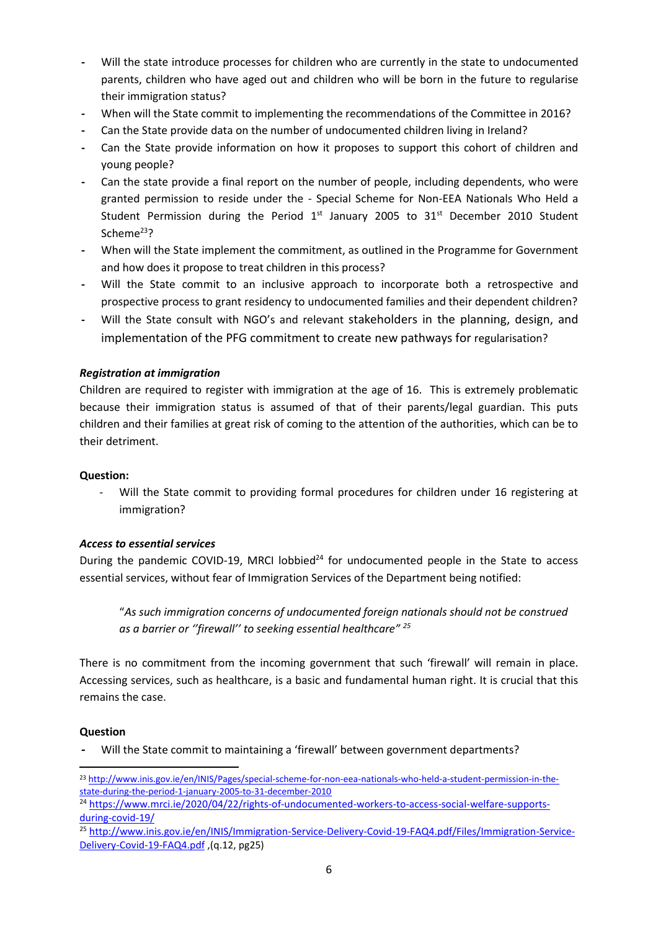- **-** Will the state introduce processes for children who are currently in the state to undocumented parents, children who have aged out and children who will be born in the future to regularise their immigration status?
- **-** When will the State commit to implementing the recommendations of the Committee in 2016?
- **-** Can the State provide data on the number of undocumented children living in Ireland?
- **-** Can the State provide information on how it proposes to support this cohort of children and young people?
- **-** Can the state provide a final report on the number of people, including dependents, who were granted permission to reside under the - Special Scheme for Non-EEA Nationals Who Held a Student Permission during the Period  $1<sup>st</sup>$  January 2005 to  $31<sup>st</sup>$  December 2010 Student Scheme<sup>23</sup>?
- **-** When will the State implement the commitment, as outlined in the Programme for Government and how does it propose to treat children in this process?
- **-** Will the State commit to an inclusive approach to incorporate both a retrospective and prospective process to grant residency to undocumented families and their dependent children?
- **-** Will the State consult with NGO's and relevant stakeholders in the planning, design, and implementation of the PFG commitment to create new pathways for regularisation?

## *Registration at immigration*

Children are required to register with immigration at the age of 16. This is extremely problematic because their immigration status is assumed of that of their parents/legal guardian. This puts children and their families at great risk of coming to the attention of the authorities, which can be to their detriment.

#### **Question:**

- Will the State commit to providing formal procedures for children under 16 registering at immigration?

## *Access to essential services*

During the pandemic COVID-19, MRCI lobbied $^{24}$  for undocumented people in the State to access essential services, without fear of Immigration Services of the Department being notified:

"*As such immigration concerns of undocumented foreign nationals should not be construed as a barrier or ''firewall'' to seeking essential healthcare" <sup>25</sup>*

There is no commitment from the incoming government that such 'firewall' will remain in place. Accessing services, such as healthcare, is a basic and fundamental human right. It is crucial that this remains the case.

#### **Question**

**-** Will the State commit to maintaining a 'firewall' between government departments?

 $\overline{a}$ <sup>23</sup> [http://www.inis.gov.ie/en/INIS/Pages/special-scheme-for-non-eea-nationals-who-held-a-student-permission-in-the](http://www.inis.gov.ie/en/INIS/Pages/special-scheme-for-non-eea-nationals-who-held-a-student-permission-in-the-state-during-the-period-1-january-2005-to-31-december-2010)[state-during-the-period-1-january-2005-to-31-december-2010](http://www.inis.gov.ie/en/INIS/Pages/special-scheme-for-non-eea-nationals-who-held-a-student-permission-in-the-state-during-the-period-1-january-2005-to-31-december-2010)

<sup>24</sup> [https://www.mrci.ie/2020/04/22/rights-of-undocumented-workers-to-access-social-welfare-supports](https://www.mrci.ie/2020/04/22/rights-of-undocumented-workers-to-access-social-welfare-supports-during-covid-19/)[during-covid-19/](https://www.mrci.ie/2020/04/22/rights-of-undocumented-workers-to-access-social-welfare-supports-during-covid-19/)

<sup>25</sup> [http://www.inis.gov.ie/en/INIS/Immigration-Service-Delivery-Covid-19-FAQ4.pdf/Files/Immigration-Service-](http://www.inis.gov.ie/en/INIS/Immigration-Service-Delivery-Covid-19-FAQ4.pdf/Files/Immigration-Service-Delivery-Covid-19-FAQ4.pdf)[Delivery-Covid-19-FAQ4.pdf](http://www.inis.gov.ie/en/INIS/Immigration-Service-Delivery-Covid-19-FAQ4.pdf/Files/Immigration-Service-Delivery-Covid-19-FAQ4.pdf) ,(q.12, pg25)